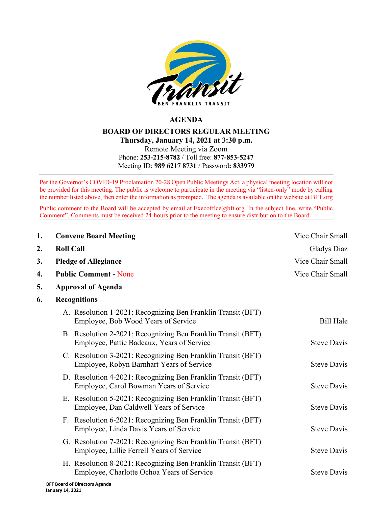

## **AGENDA**

## **BOARD OF DIRECTORS REGULAR MEETING Thursday, January 14, 2021 at 3:30 p.m.** Remote Meeting via Zoom Phone: **253-215-8782** / Toll free: **877-853-5247** Meeting ID: **989 6217 8731** / Password**: 833979**

Per the Governor's COVID-19 Proclamation 20-28 Open Public Meetings Act, a physical meeting location will not be provided for this meeting. The public is welcome to participate in the meeting via "listen-only" mode by calling the number listed above, then enter the information as prompted. The agenda is available on the website at BFT.org

Public comment to the Board will be accepted by email at [Execoffice@bft.org.](mailto:Execoffice@bft.org) In the subject line, write "Public Comment". Comments must be received 24-hours prior to the meeting to ensure distribution to the Board.

| 1. | <b>Convene Board Meeting</b>                                                                               | Vice Chair Small                     |  |
|----|------------------------------------------------------------------------------------------------------------|--------------------------------------|--|
| 2. | <b>Roll Call</b>                                                                                           | Gladys Diaz                          |  |
| 3. | <b>Pledge of Allegiance</b>                                                                                | Vice Chair Small<br>Vice Chair Small |  |
| 4. | <b>Public Comment - None</b>                                                                               |                                      |  |
| 5. | <b>Approval of Agenda</b>                                                                                  |                                      |  |
| 6. | <b>Recognitions</b>                                                                                        |                                      |  |
|    | A. Resolution 1-2021: Recognizing Ben Franklin Transit (BFT)<br>Employee, Bob Wood Years of Service        | <b>Bill Hale</b>                     |  |
|    | B. Resolution 2-2021: Recognizing Ben Franklin Transit (BFT)<br>Employee, Pattie Badeaux, Years of Service | <b>Steve Davis</b>                   |  |
|    | C. Resolution 3-2021: Recognizing Ben Franklin Transit (BFT)<br>Employee, Robyn Barnhart Years of Service  | <b>Steve Davis</b>                   |  |
|    | D. Resolution 4-2021: Recognizing Ben Franklin Transit (BFT)<br>Employee, Carol Bowman Years of Service    | <b>Steve Davis</b>                   |  |
|    | E. Resolution 5-2021: Recognizing Ben Franklin Transit (BFT)<br>Employee, Dan Caldwell Years of Service    | <b>Steve Davis</b>                   |  |
|    | F. Resolution 6-2021: Recognizing Ben Franklin Transit (BFT)<br>Employee, Linda Davis Years of Service     | <b>Steve Davis</b>                   |  |
|    | G. Resolution 7-2021: Recognizing Ben Franklin Transit (BFT)<br>Employee, Lillie Ferrell Years of Service  | <b>Steve Davis</b>                   |  |
|    | H. Resolution 8-2021: Recognizing Ben Franklin Transit (BFT)<br>Employee, Charlotte Ochoa Years of Service | <b>Steve Davis</b>                   |  |
|    | DET Baasel of Bluestone Association                                                                        |                                      |  |